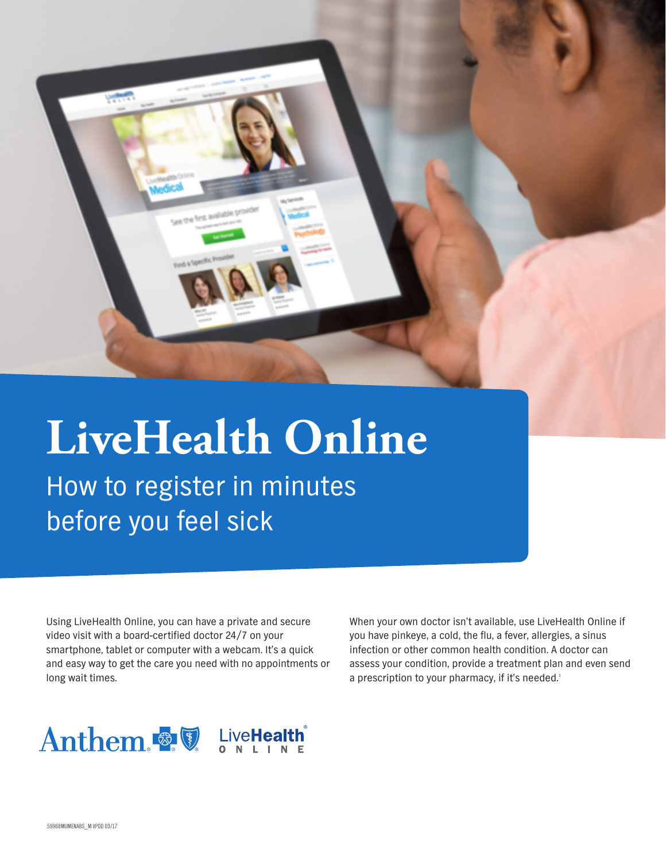

How to register in minutes before you feel sick

Using LiveHealth Online, you can have a private and secure video visit with a board-certified doctor 24/7 on your smartphone, tablet or computer with a webcam. It's a quick and easy way to get the care you need with no appointments or long wait times.

When your own doctor isn't available, use LiveHealth Online if you have pinkeye, a cold, the flu, a fever, allergies, a sinus infection or other common health condition. A doctor can assess your condition, provide a treatment plan and even send a prescription to your pharmacy, if it's needed.<sup>1</sup>